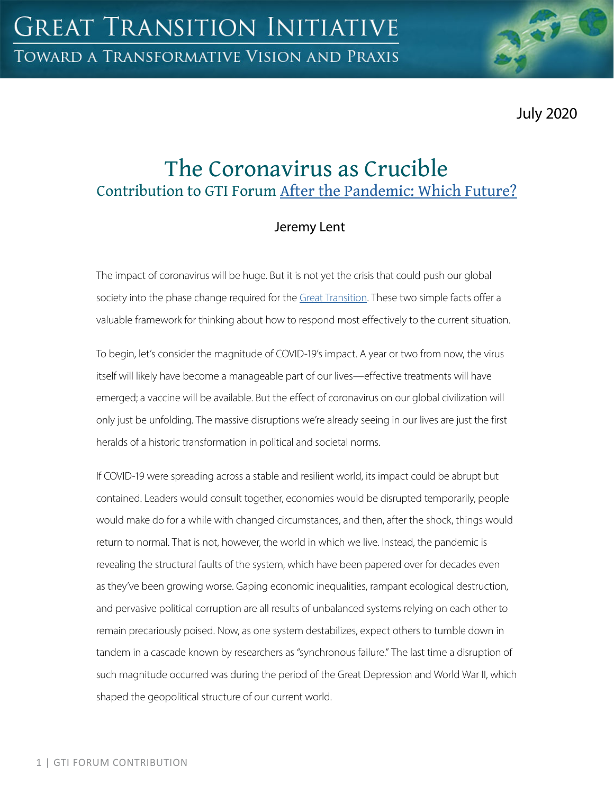July 2020

# The Coronavirus as Crucible Contribution to GTI Forum [After the Pandemic: Which Future?](https://greattransition.org/gti-forum/after-the-pandemic-which-future-1)

# Jeremy Lent

The impact of coronavirus will be huge. But it is not yet the crisis that could push our global society into the phase change required for the [Great Transition](https://greattransition.org/explore/scenarios/taxonomy). These two simple facts offer a valuable framework for thinking about how to respond most effectively to the current situation.

To begin, let's consider the magnitude of COVID-19's impact. A year or two from now, the virus itself will likely have become a manageable part of our lives—effective treatments will have emerged; a vaccine will be available. But the effect of coronavirus on our global civilization will only just be unfolding. The massive disruptions we're already seeing in our lives are just the first heralds of a historic transformation in political and societal norms.

If COVID-19 were spreading across a stable and resilient world, its impact could be abrupt but contained. Leaders would consult together, economies would be disrupted temporarily, people would make do for a while with changed circumstances, and then, after the shock, things would return to normal. That is not, however, the world in which we live. Instead, the pandemic is revealing the structural faults of the system, which have been papered over for decades even as they've been growing worse. Gaping economic inequalities, rampant ecological destruction, and pervasive political corruption are all results of unbalanced systems relying on each other to remain precariously poised. Now, as one system destabilizes, expect others to tumble down in tandem in a cascade known by researchers as "synchronous failure." The last time a disruption of such magnitude occurred was during the period of the Great Depression and World War II, which shaped the geopolitical structure of our current world.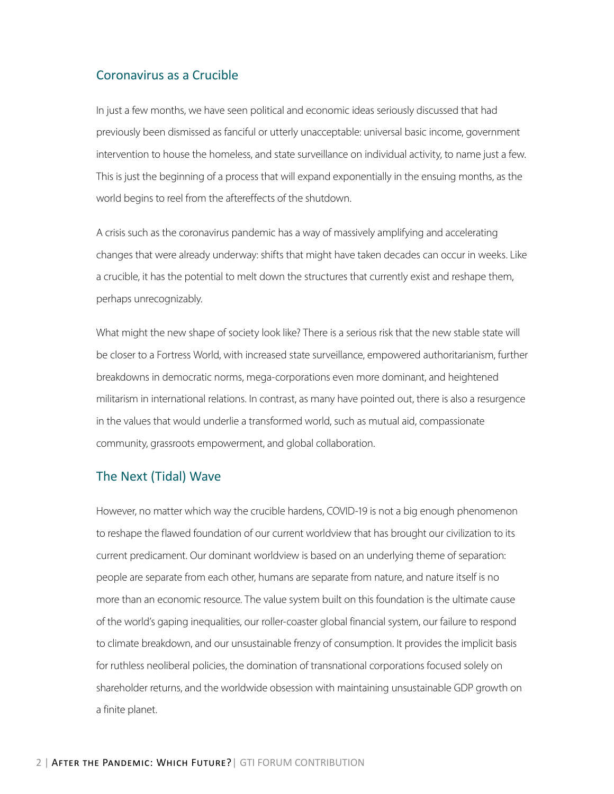#### Coronavirus as a Crucible

In just a few months, we have seen political and economic ideas seriously discussed that had previously been dismissed as fanciful or utterly unacceptable: universal basic income, government intervention to house the homeless, and state surveillance on individual activity, to name just a few. This is just the beginning of a process that will expand exponentially in the ensuing months, as the world begins to reel from the aftereffects of the shutdown.

A crisis such as the coronavirus pandemic has a way of massively amplifying and accelerating changes that were already underway: shifts that might have taken decades can occur in weeks. Like a crucible, it has the potential to melt down the structures that currently exist and reshape them, perhaps unrecognizably.

What might the new shape of society look like? There is a serious risk that the new stable state will be closer to a Fortress World, with increased state surveillance, empowered authoritarianism, further breakdowns in democratic norms, mega-corporations even more dominant, and heightened militarism in international relations. In contrast, as many have pointed out, there is also a resurgence in the values that would underlie a transformed world, such as mutual aid, compassionate community, grassroots empowerment, and global collaboration.

#### The Next (Tidal) Wave

However, no matter which way the crucible hardens, COVID-19 is not a big enough phenomenon to reshape the flawed foundation of our current worldview that has brought our civilization to its current predicament. Our dominant worldview is based on an underlying theme of separation: people are separate from each other, humans are separate from nature, and nature itself is no more than an economic resource. The value system built on this foundation is the ultimate cause of the world's gaping inequalities, our roller-coaster global financial system, our failure to respond to climate breakdown, and our unsustainable frenzy of consumption. It provides the implicit basis for ruthless neoliberal policies, the domination of transnational corporations focused solely on shareholder returns, and the worldwide obsession with maintaining unsustainable GDP growth on a finite planet.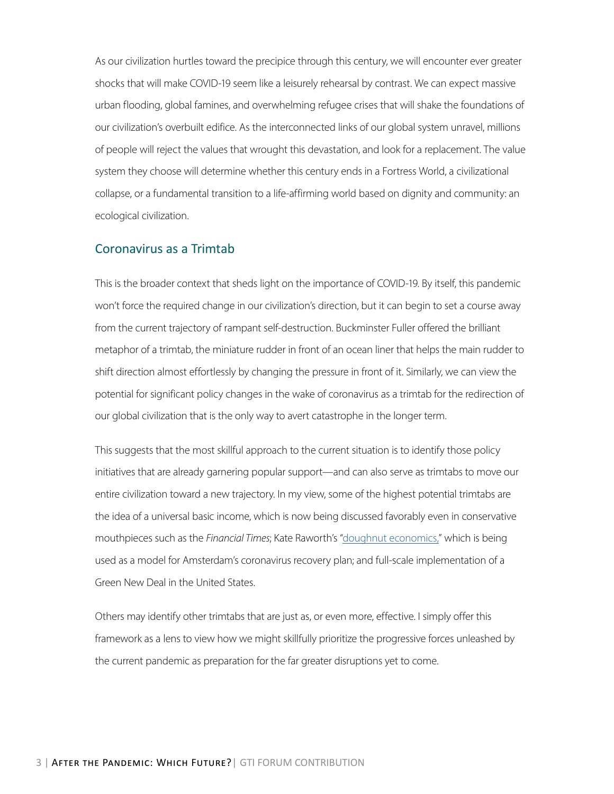As our civilization hurtles toward the precipice through this century, we will encounter ever greater shocks that will make COVID-19 seem like a leisurely rehearsal by contrast. We can expect massive urban flooding, global famines, and overwhelming refugee crises that will shake the foundations of our civilization's overbuilt edifice. As the interconnected links of our global system unravel, millions of people will reject the values that wrought this devastation, and look for a replacement. The value system they choose will determine whether this century ends in a Fortress World, a civilizational collapse, or a fundamental transition to a life-affirming world based on dignity and community: an ecological civilization.

### Coronavirus as a Trimtab

This is the broader context that sheds light on the importance of COVID-19. By itself, this pandemic won't force the required change in our civilization's direction, but it can begin to set a course away from the current trajectory of rampant self-destruction. Buckminster Fuller offered the brilliant metaphor of a trimtab, the miniature rudder in front of an ocean liner that helps the main rudder to shift direction almost effortlessly by changing the pressure in front of it. Similarly, we can view the potential for significant policy changes in the wake of coronavirus as a trimtab for the redirection of our global civilization that is the only way to avert catastrophe in the longer term.

This suggests that the most skillful approach to the current situation is to identify those policy initiatives that are already garnering popular support—and can also serve as trimtabs to move our entire civilization toward a new trajectory. In my view, some of the highest potential trimtabs are the idea of a universal basic income, which is now being discussed favorably even in conservative mouthpieces such as the *Financial Times*; Kate Raworth's ["doughnut economics,"](https://greattransition.org/publication/dollars-doughnuts) which is being used as a model for Amsterdam's coronavirus recovery plan; and full-scale implementation of a Green New Deal in the United States.

Others may identify other trimtabs that are just as, or even more, effective. I simply offer this framework as a lens to view how we might skillfully prioritize the progressive forces unleashed by the current pandemic as preparation for the far greater disruptions yet to come.